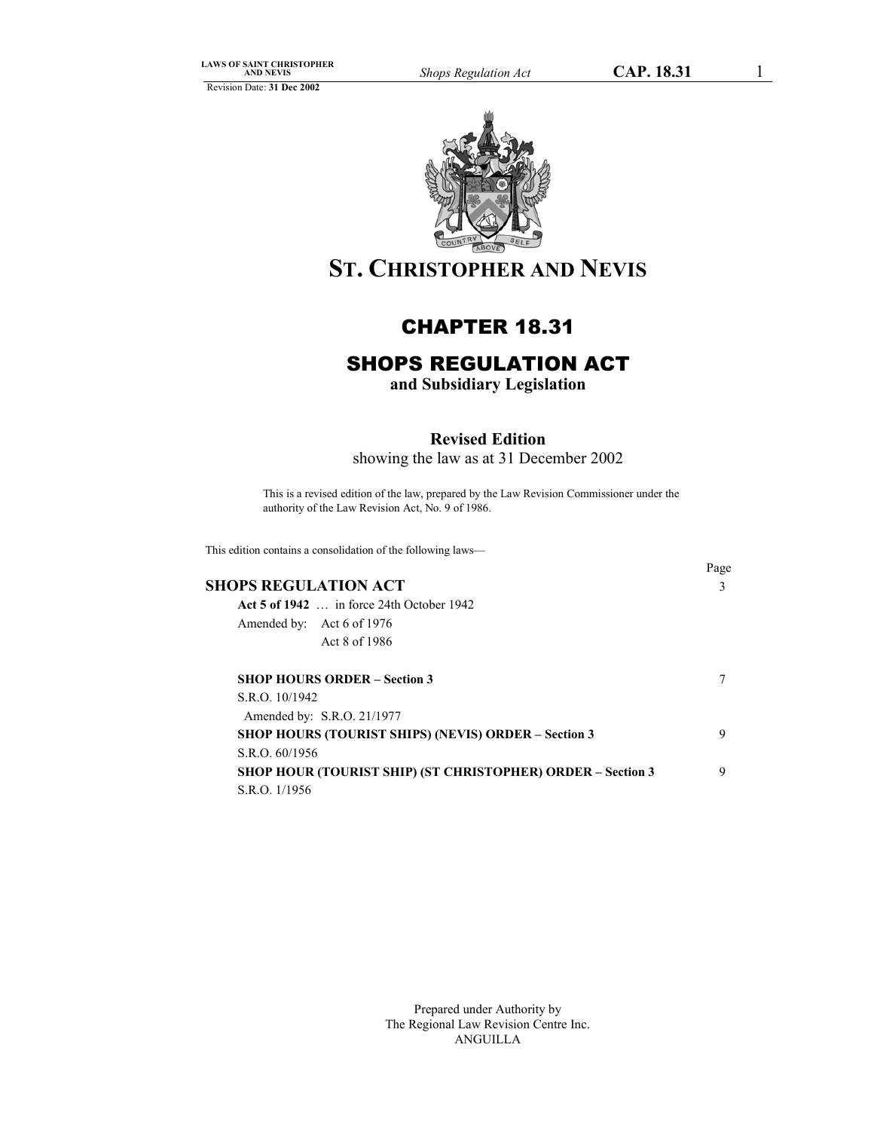Revision Date: **31 Dec 2002**



# **ST. CHRISTOPHER AND NEVIS**

# CHAPTER 18.31

# SHOPS REGULATION ACT

**and Subsidiary Legislation**

# **Revised Edition**

showing the law as at 31 December 2002

This is a revised edition of the law, prepared by the Law Revision Commissioner under the authority of the Law Revision Act, No. 9 of 1986.

This edition contains a consolidation of the following laws—

|                                                                    | Page |
|--------------------------------------------------------------------|------|
| SHOPS REGULATION ACT                                               | 3    |
| Act 5 of $1942$ in force 24th October 1942                         |      |
| Amended by: Act 6 of 1976                                          |      |
| Act 8 of 1986                                                      |      |
| <b>SHOP HOURS ORDER – Section 3</b>                                |      |
| S.R.O. 10/1942                                                     |      |
| Amended by: S.R.O. 21/1977                                         |      |
| <b>SHOP HOURS (TOURIST SHIPS) (NEVIS) ORDER - Section 3</b>        | 9    |
| S.R.O. 60/1956                                                     |      |
| <b>SHOP HOUR (TOURIST SHIP) (ST CHRISTOPHER) ORDER – Section 3</b> | 9    |
| S.R.O. 1/1956                                                      |      |

Prepared under Authority by The Regional Law Revision Centre Inc. ANGUILLA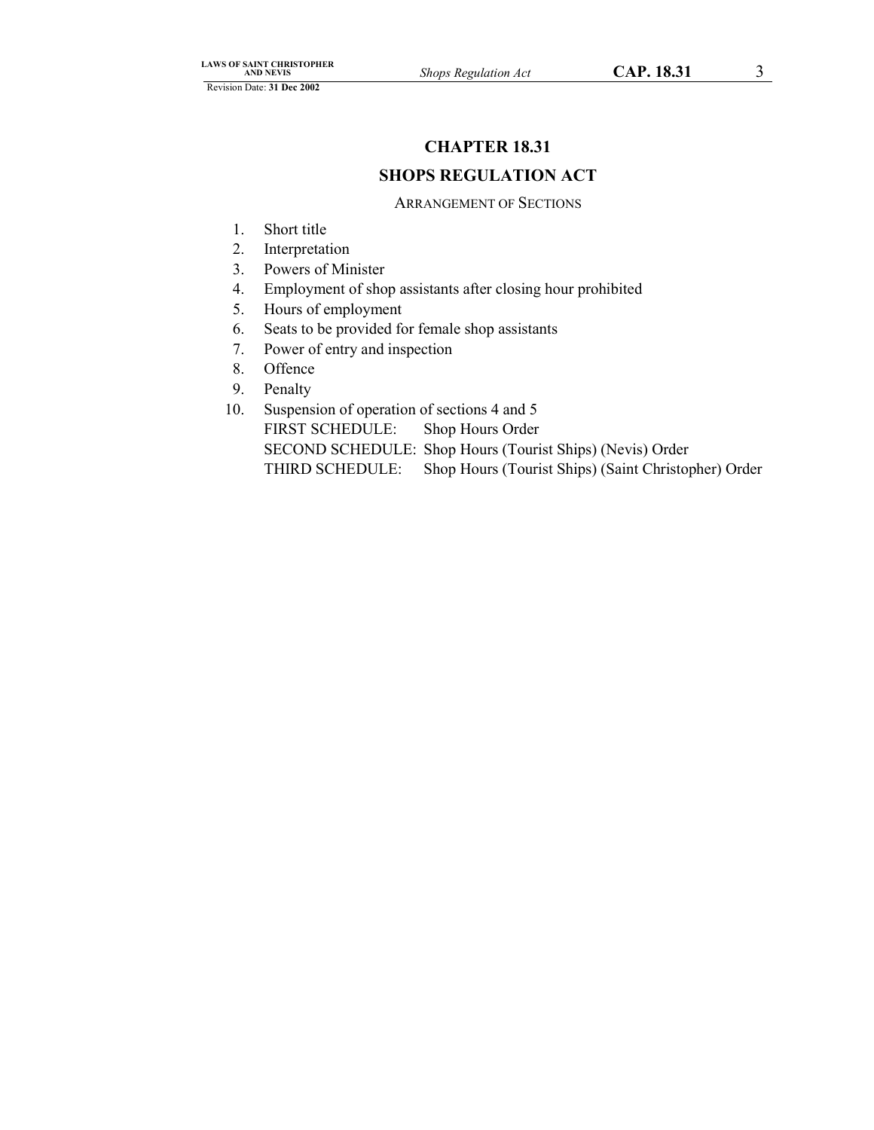# **CHAPTER 18.31**

# **SHOPS REGULATION ACT**

# ARRANGEMENT OF SECTIONS

- 1. Short title
- 2. Interpretation
- 3. Powers of Minister
- 4. Employment of shop assistants after closing hour prohibited
- 5. Hours of employment
- 6. Seats to be provided for female shop assistants
- 7. Power of entry and inspection
- 8. Offence
- 9. Penalty
- 10. Suspension of operation of sections 4 and 5 FIRST SCHEDULE: Shop Hours Order SECOND SCHEDULE: Shop Hours (Tourist Ships) (Nevis) Order THIRD SCHEDULE: Shop Hours (Tourist Ships) (Saint Christopher) Order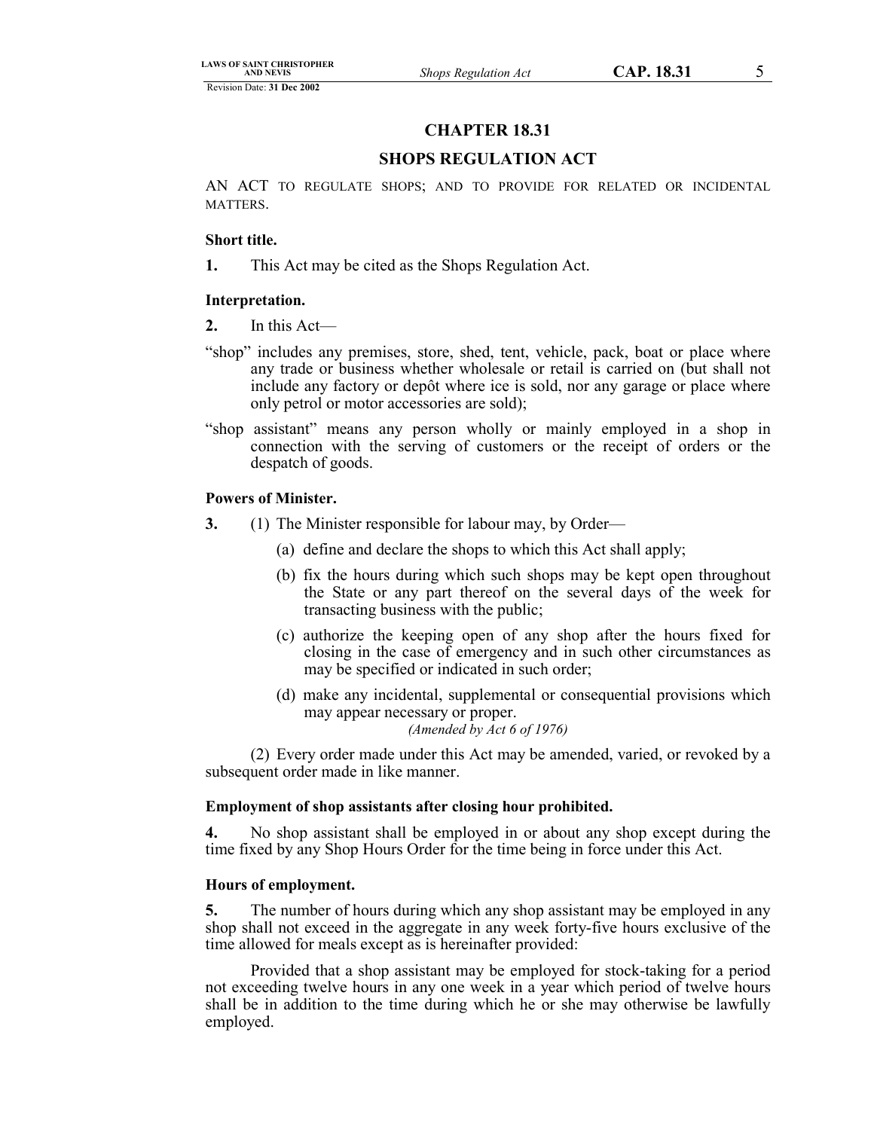# **CHAPTER 18.31**

# **SHOPS REGULATION ACT**

AN ACT TO REGULATE SHOPS; AND TO PROVIDE FOR RELATED OR INCIDENTAL MATTERS.

#### **Short title.**

**1.** This Act may be cited as the Shops Regulation Act.

#### **Interpretation.**

- **2.** In this Act—
- "shop" includes any premises, store, shed, tent, vehicle, pack, boat or place where any trade or business whether wholesale or retail is carried on (but shall not include any factory or depôt where ice is sold, nor any garage or place where only petrol or motor accessories are sold);
- "shop assistant" means any person wholly or mainly employed in a shop in connection with the serving of customers or the receipt of orders or the despatch of goods.

#### **Powers of Minister.**

- **3.** (1) The Minister responsible for labour may, by Order—
	- (a) define and declare the shops to which this Act shall apply;
	- (b) fix the hours during which such shops may be kept open throughout the State or any part thereof on the several days of the week for transacting business with the public;
	- (c) authorize the keeping open of any shop after the hours fixed for closing in the case of emergency and in such other circumstances as may be specified or indicated in such order;
	- (d) make any incidental, supplemental or consequential provisions which may appear necessary or proper. *(Amended by Act 6 of 1976)*

(2) Every order made under this Act may be amended, varied, or revoked by a subsequent order made in like manner.

#### **Employment of shop assistants after closing hour prohibited.**

**4.** No shop assistant shall be employed in or about any shop except during the time fixed by any Shop Hours Order for the time being in force under this Act.

#### **Hours of employment.**

**5.** The number of hours during which any shop assistant may be employed in any shop shall not exceed in the aggregate in any week forty-five hours exclusive of the time allowed for meals except as is hereinafter provided:

Provided that a shop assistant may be employed for stock-taking for a period not exceeding twelve hours in any one week in a year which period of twelve hours shall be in addition to the time during which he or she may otherwise be lawfully employed.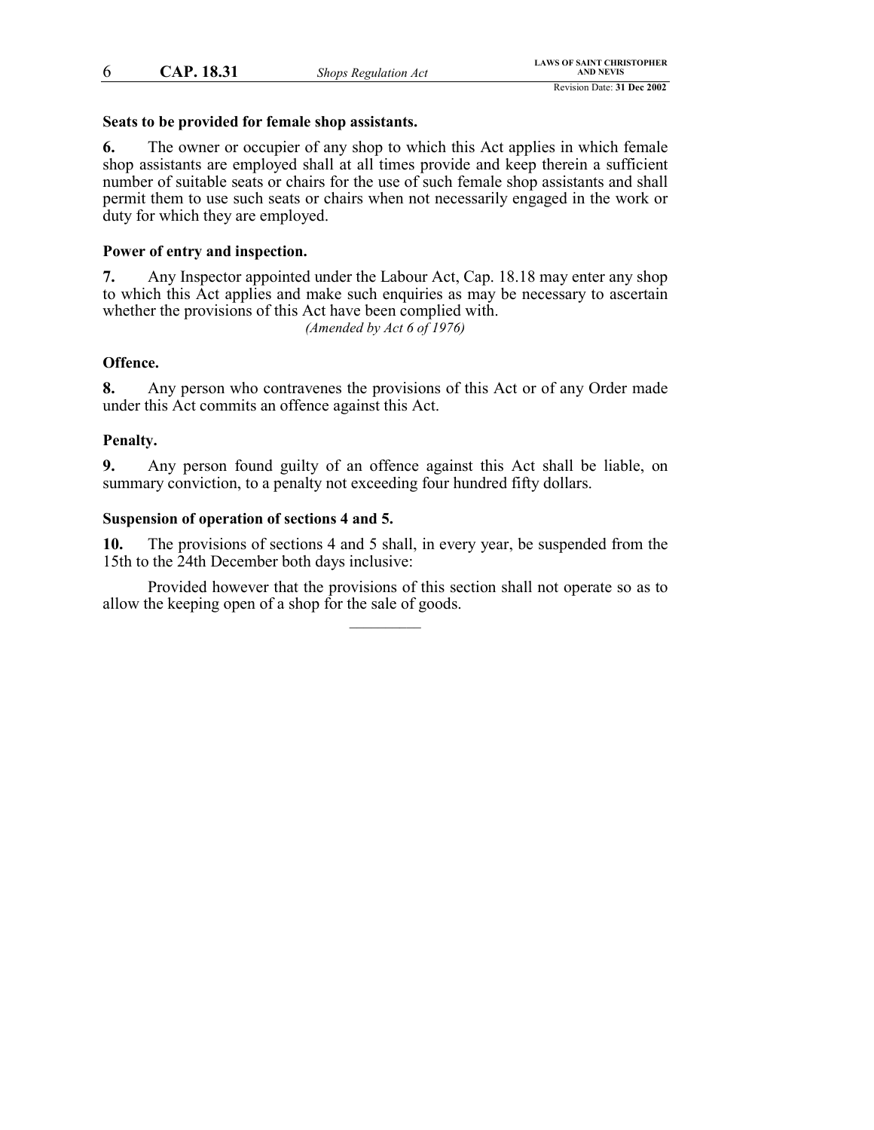6 **CAP. 18.31** *Shops Regulation Act*

#### **Seats to be provided for female shop assistants.**

**6.** The owner or occupier of any shop to which this Act applies in which female shop assistants are employed shall at all times provide and keep therein a sufficient number of suitable seats or chairs for the use of such female shop assistants and shall permit them to use such seats or chairs when not necessarily engaged in the work or duty for which they are employed.

# **Power of entry and inspection.**

**7.** Any Inspector appointed under the Labour Act, Cap. 18.18 may enter any shop to which this Act applies and make such enquiries as may be necessary to ascertain whether the provisions of this Act have been complied with.

*(Amended by Act 6 of 1976)*

# **Offence.**

**8.** Any person who contravenes the provisions of this Act or of any Order made under this Act commits an offence against this Act.

### **Penalty.**

**9.** Any person found guilty of an offence against this Act shall be liable, on summary conviction, to a penalty not exceeding four hundred fifty dollars.

# **Suspension of operation of sections 4 and 5.**

**10.** The provisions of sections 4 and 5 shall, in every year, be suspended from the 15th to the 24th December both days inclusive:

Provided however that the provisions of this section shall not operate so as to allow the keeping open of a shop for the sale of goods.  $\mathcal{L}$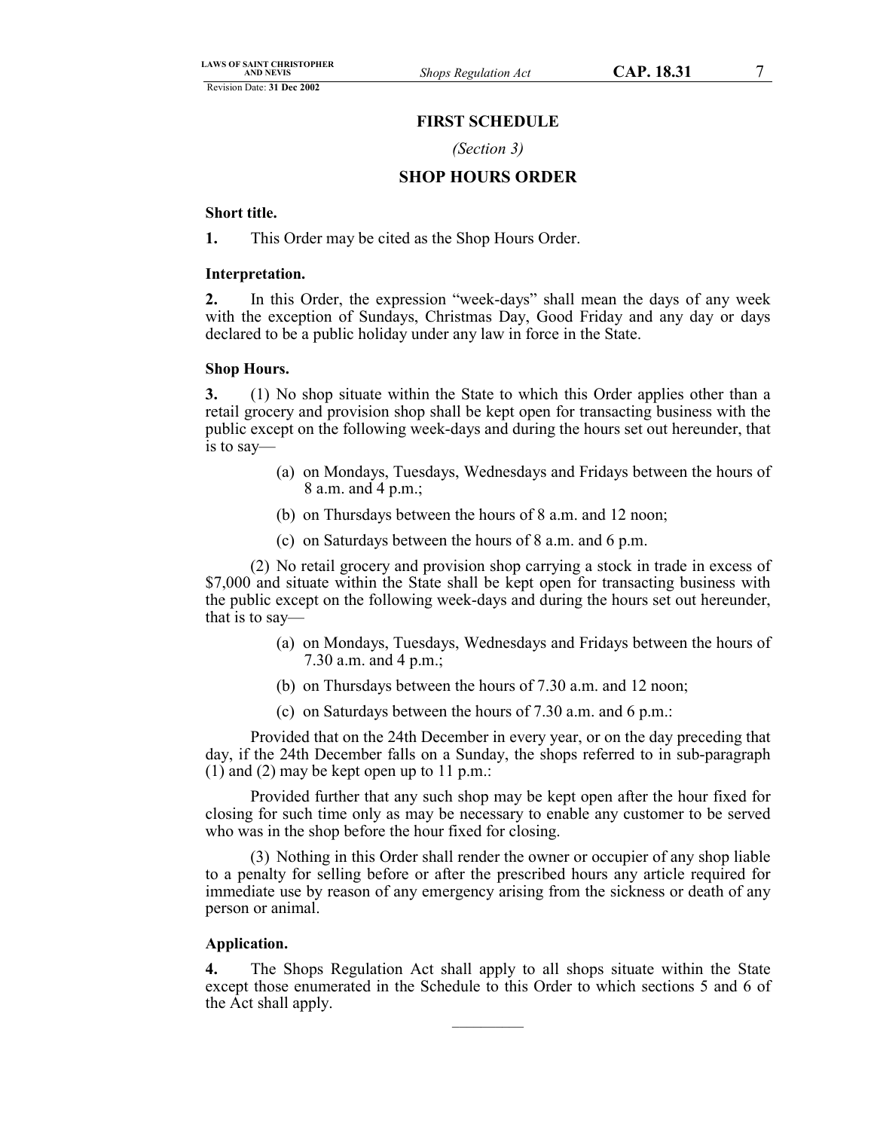# **FIRST SCHEDULE**

#### *(Section 3)*

# **SHOP HOURS ORDER**

#### **Short title.**

**1.** This Order may be cited as the Shop Hours Order.

#### **Interpretation.**

**2.** In this Order, the expression "week-days" shall mean the days of any week with the exception of Sundays, Christmas Day, Good Friday and any day or days declared to be a public holiday under any law in force in the State.

#### **Shop Hours.**

**3.** (1) No shop situate within the State to which this Order applies other than a retail grocery and provision shop shall be kept open for transacting business with the public except on the following week-days and during the hours set out hereunder, that is to say—

- (a) on Mondays, Tuesdays, Wednesdays and Fridays between the hours of 8 a.m. and 4 p.m.;
- (b) on Thursdays between the hours of 8 a.m. and 12 noon;
- (c) on Saturdays between the hours of 8 a.m. and 6 p.m.

(2) No retail grocery and provision shop carrying a stock in trade in excess of \$7,000 and situate within the State shall be kept open for transacting business with the public except on the following week-days and during the hours set out hereunder, that is to say—

- (a) on Mondays, Tuesdays, Wednesdays and Fridays between the hours of 7.30 a.m. and 4 p.m.;
- (b) on Thursdays between the hours of 7.30 a.m. and 12 noon;
- (c) on Saturdays between the hours of 7.30 a.m. and 6 p.m.:

Provided that on the 24th December in every year, or on the day preceding that day, if the 24th December falls on a Sunday, the shops referred to in sub-paragraph (1) and (2) may be kept open up to 11 p.m.:

Provided further that any such shop may be kept open after the hour fixed for closing for such time only as may be necessary to enable any customer to be served who was in the shop before the hour fixed for closing.

(3) Nothing in this Order shall render the owner or occupier of any shop liable to a penalty for selling before or after the prescribed hours any article required for immediate use by reason of any emergency arising from the sickness or death of any person or animal.

### **Application.**

**4.** The Shops Regulation Act shall apply to all shops situate within the State except those enumerated in the Schedule to this Order to which sections 5 and 6 of the Act shall apply.  $\mathcal{L}=\mathcal{L}$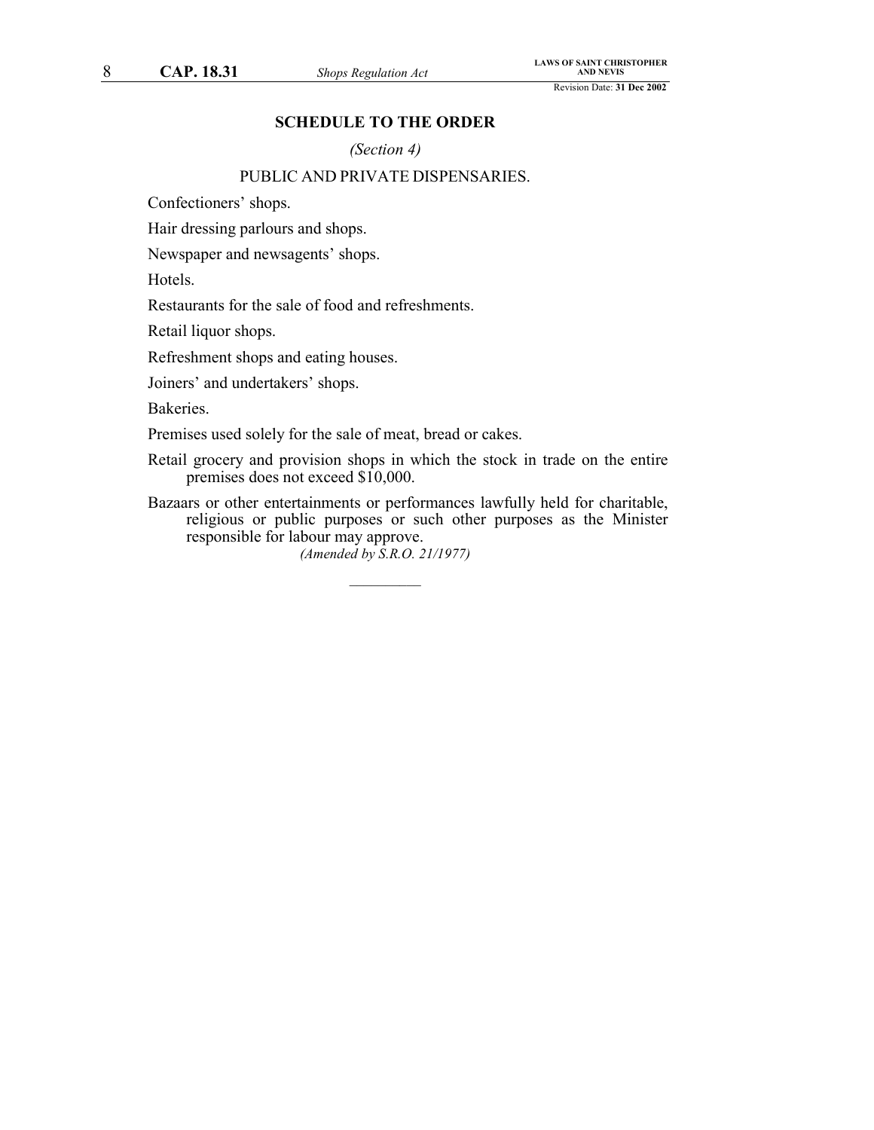# **SCHEDULE TO THE ORDER**

*(Section 4)*

# PUBLIC AND PRIVATE DISPENSARIES.

Confectioners' shops.

Hair dressing parlours and shops.

Newspaper and newsagents' shops.

Hotels.

Restaurants for the sale of food and refreshments.

Retail liquor shops.

Refreshment shops and eating houses.

Joiners' and undertakers' shops.

Bakeries.

Premises used solely for the sale of meat, bread or cakes.

Retail grocery and provision shops in which the stock in trade on the entire premises does not exceed \$10,000.

Bazaars or other entertainments or performances lawfully held for charitable, religious or public purposes or such other purposes as the Minister responsible for labour may approve.

*(Amended by S.R.O. 21/1977)*  $\frac{1}{2}$